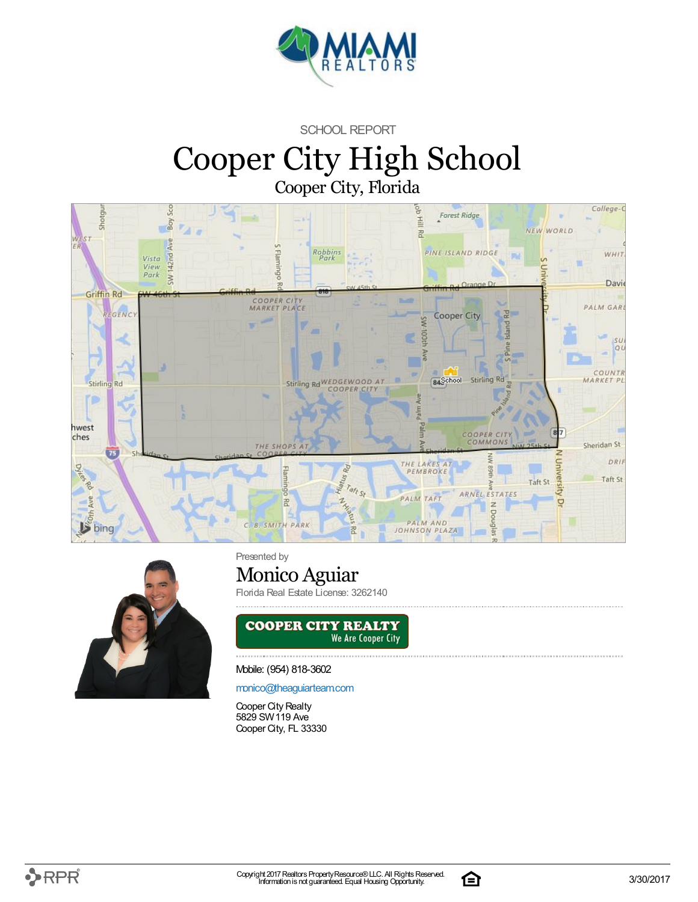

SCHOOL REPORT

## Cooper City High School Cooper City, Florida





Presented by

### Monico Aguiar

Florida Real Estate License: 3262140



Mobile: (954) 818-3602

[monico@theaguiarteam.com](mailto:monico@theaguiarteam.com)

Cooper City Realty 5829 SW119 Ave Cooper City, FL 33330

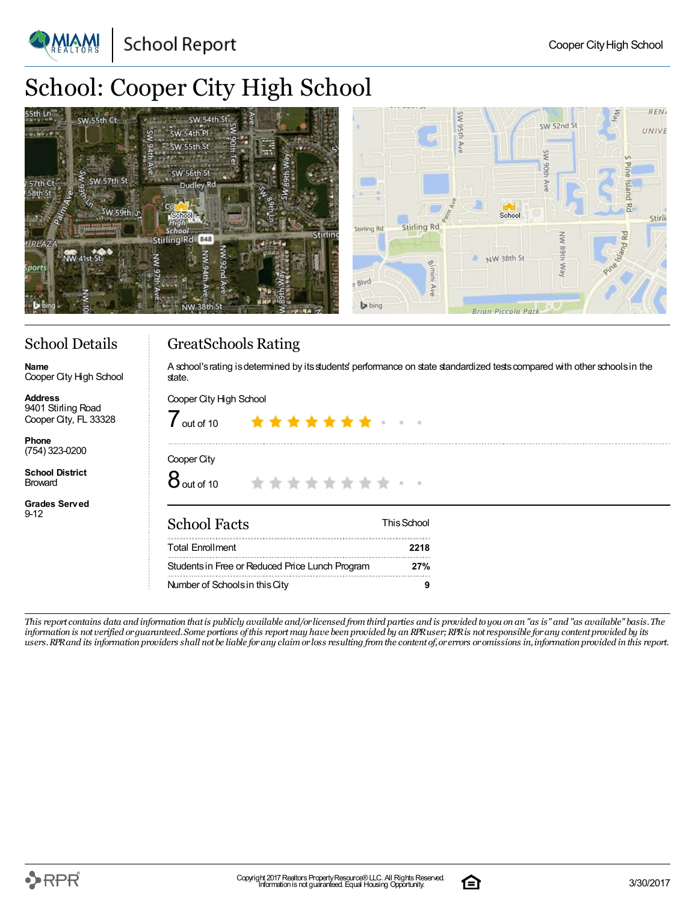**School Report** 

# School: Cooper City High School



### School Details

Cooper City High School

**Name**

**Address**

**Phone** (754) 323-0200 **School District** Broward

9-12

GreatSchools Rating

A school's rating is determined by its students' performance on state standardized tests compared with other schools in the state.

#### Cooper City High School 9401 Stirling Road Cooper City, FL 33328  $\int$  out of 10 Cooper City  $8$  out of 10 \* \* \* \* \* \* \* \* **Grades Served** School Facts ThisSchool Total Enrollment **2218** Studentsin Free or Reduced Price Lunch Program **27%** Number of Schoolsin thisCity **9**

This report contains data and information that is publicly available and/or licensed from third parties and is provided to you on an "as is" and "as available" basis. The information is not verified or guaranteed. Some portions of this report may have been provided by an RPR user; RPR is not responsible for any content provided by its users. RPR and its information providers shall not be liable for any claim or loss resulting from the content of, or errors or omissions in, information provided in this report.

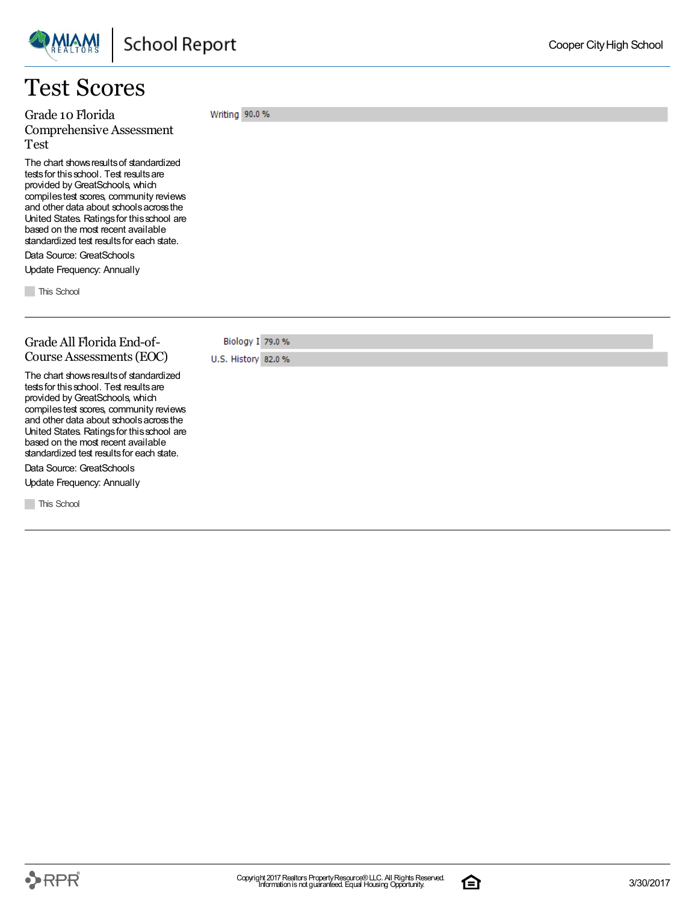### Test Scores

Grade 10 Florida Comprehensive Assessment Test

The chart shows results of standardized tests for this school. Test results are provided by GreatSchools, which compilestest scores, community reviews and other data about schoolsacrossthe United States. Ratingsfor thisschool are based on the most recent available standardized test results for each state.

Data Source: GreatSchools Update Frequency: Annually

**This School** 

#### Grade All Florida End-of-Course Assessments(EOC)

Biology I 79.0 % U.S. History 82.0 %

Writing 90.0 %

The chart shows results of standardized tests for this school. Test results are provided byGreatSchools, which compilestest scores, community reviews and other data about schoolsacrossthe United States. Ratingsfor thisschool are based on the most recent available standardized test results for each state.

Data Source: GreatSchools Update Frequency: Annually

**This School** 

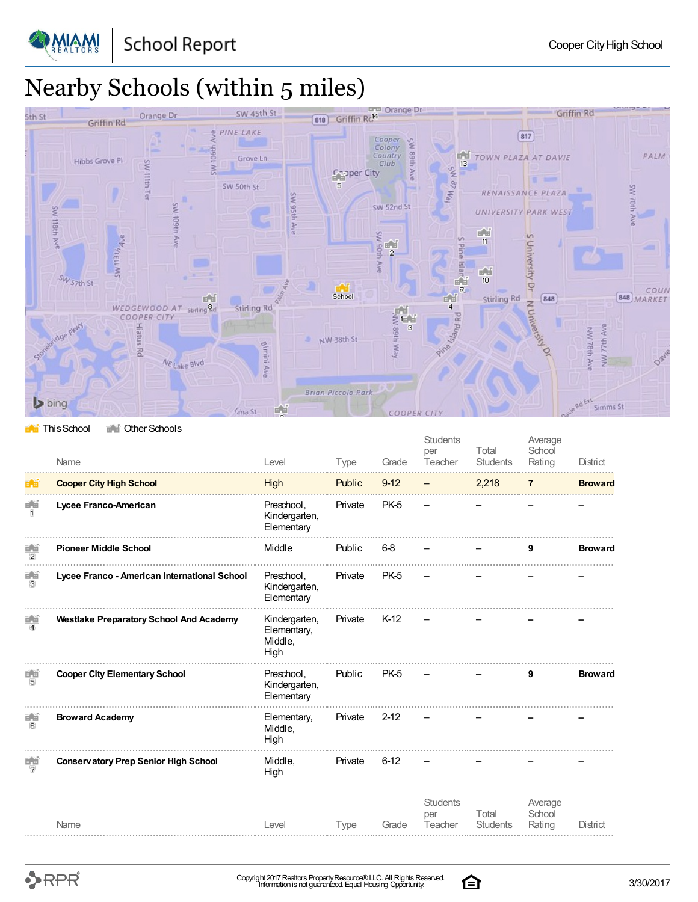

**PMIAM!** 



#### **This School** The Other Schools

|                       | Name                                           | Level                                           | Type        | Grade    | <b>Students</b><br>per<br>Teacher | Total<br><b>Students</b> | Average<br>School<br>Rating | District       |
|-----------------------|------------------------------------------------|-------------------------------------------------|-------------|----------|-----------------------------------|--------------------------|-----------------------------|----------------|
|                       | <b>Cooper City High School</b>                 | High                                            | Public      | $9 - 12$ |                                   | 2,218                    | $\overline{7}$              | <b>Broward</b> |
| 首前<br>$\mathbf{1}$    | Lycee Franco-American                          | Preschool.<br>Kindergarten,<br>Elementary       | Private     | PK-5     |                                   |                          |                             |                |
| 首首<br>$\overline{2}$  | <b>Pioneer Middle School</b>                   | Middle                                          | Public      | $6-8$    |                                   |                          |                             | <b>Broward</b> |
| ∎ ਪ।<br> 3            | Lycee Franco - American International School   | Preschool,<br>Kindergarten,<br>Elementary       | Private     | PK-5     |                                   |                          |                             |                |
| 画面<br>$\overline{4}$  | <b>Westlake Preparatory School And Academy</b> | Kindergarten,<br>Elementary,<br>Middle,<br>High | Private     | $K-12$   |                                   |                          |                             |                |
| 8 B<br>$\overline{5}$ | <b>Cooper City Elementary School</b>           | Preschool.<br>Kindergarten,<br>Elementary       | Public      | PK-5     |                                   |                          | 9                           | <b>Broward</b> |
| 田田<br>$\overline{6}$  | <b>Broward Academy</b>                         | Elementary,<br>Middle,<br>High                  | Private     | $2 - 12$ |                                   |                          |                             |                |
| $\frac{1}{2}$         | <b>Conservatory Prep Senior High School</b>    | Middle,<br>High                                 | Private     | $6 - 12$ |                                   |                          |                             |                |
|                       | Name                                           | Level                                           | <b>Type</b> | Grade    | <b>Students</b><br>per<br>Teacher | Total<br><b>Students</b> | Average<br>School<br>Rating | District       |